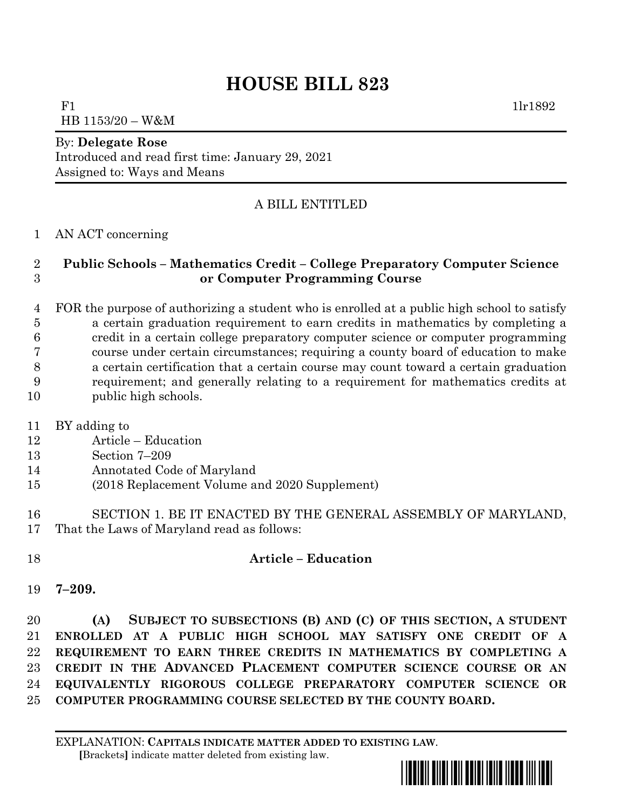# **HOUSE BILL 823**

 $F1$  1lr1892 HB 1153/20 – W&M

#### By: **Delegate Rose**

Introduced and read first time: January 29, 2021 Assigned to: Ways and Means

## A BILL ENTITLED

#### AN ACT concerning

### **Public Schools – Mathematics Credit – College Preparatory Computer Science or Computer Programming Course**

 FOR the purpose of authorizing a student who is enrolled at a public high school to satisfy a certain graduation requirement to earn credits in mathematics by completing a credit in a certain college preparatory computer science or computer programming course under certain circumstances; requiring a county board of education to make a certain certification that a certain course may count toward a certain graduation requirement; and generally relating to a requirement for mathematics credits at public high schools.

- BY adding to
- Article Education
- Section 7–209
- Annotated Code of Maryland
- (2018 Replacement Volume and 2020 Supplement)
- SECTION 1. BE IT ENACTED BY THE GENERAL ASSEMBLY OF MARYLAND, That the Laws of Maryland read as follows:

#### **Article – Education**

**7–209.**

 **(A) SUBJECT TO SUBSECTIONS (B) AND (C) OF THIS SECTION, A STUDENT ENROLLED AT A PUBLIC HIGH SCHOOL MAY SATISFY ONE CREDIT OF A REQUIREMENT TO EARN THREE CREDITS IN MATHEMATICS BY COMPLETING A CREDIT IN THE ADVANCED PLACEMENT COMPUTER SCIENCE COURSE OR AN EQUIVALENTLY RIGOROUS COLLEGE PREPARATORY COMPUTER SCIENCE OR COMPUTER PROGRAMMING COURSE SELECTED BY THE COUNTY BOARD.**